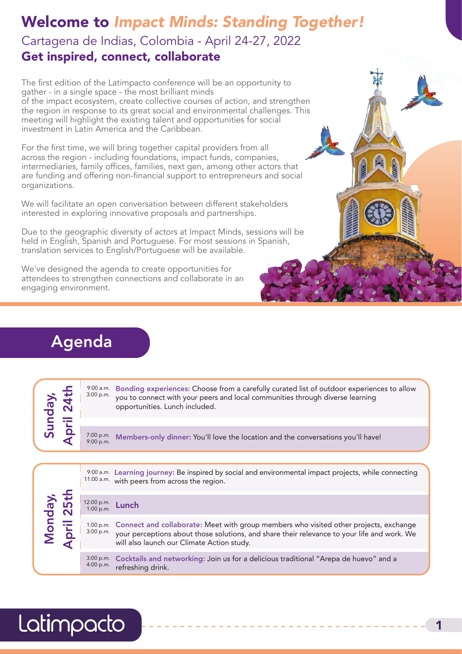# Welcome to *Impact Minds: Standing Together!* Cartagena de Indias, Colombia - April 24-27, 2022 Get inspired, connect, collaborate

The first edition of the Latimpacto conference will be an opportunity to gather - in a single space - the most brilliant minds of the impact ecosystem, create collective courses of action, and strengthen the region in response to its great social and environmental challenges. This meeting will highlight the existing talent and opportunities for social investment in Latin America and the Caribbean.

For the first time, we will bring together capital providers from all across the region - including foundations, impact funds, companies, intermediaries, family offices, families, next gen, among other actors that are funding and offering non-financial support to entrepreneurs and social organizations.

We will facilitate an open conversation between different stakeholders interested in exploring innovative proposals and partnerships.

Due to the geographic diversity of actors at Impact Minds, sessions will be held in English, Spanish and Portuguese. For most sessions in Spanish, translation services to English/Portuguese will be available.

We've designed the agenda to create opportunities for attendees to strengthen connections and collaborate in an engaging environment.

# Agenda

|  | <u>수 연</u>               | $9:00$ a.m.<br>3:00 p.m.                                                         | Bonding experiences: Choose from a carefully curated list of outdoor experiences to allow<br>you to connect with your peers and local communities through diverse learning<br>opportunities. Lunch included. |
|--|--------------------------|----------------------------------------------------------------------------------|--------------------------------------------------------------------------------------------------------------------------------------------------------------------------------------------------------------|
|  | $7:00$ p.m.<br>9:00 p.m. | Members-only dinner: You'll love the location and the conversations you'll have! |                                                                                                                                                                                                              |
|  |                          |                                                                                  | 9:00 a.m. Learning journey: Be inspired by social and environmental impact projects, while connecting                                                                                                        |

|  | 1onda <sub>)</sub><br>pril 251<br>$\overline{\mathbf{b}}$ |                              | 11:00 a.m. with peers from across the region.                                                                                                                                                                                                |
|--|-----------------------------------------------------------|------------------------------|----------------------------------------------------------------------------------------------------------------------------------------------------------------------------------------------------------------------------------------------|
|  |                                                           | $^{12:00}$ p.m. <b>Lunch</b> |                                                                                                                                                                                                                                              |
|  |                                                           | 3:00 p.m.                    | 1:00 p.m. Connect and collaborate: Meet with group members who visited other projects, exchange<br>your perceptions about those solutions, and share their relevance to your life and work. We<br>will also launch our Climate Action study. |
|  |                                                           | 4:00 p.m.                    | 3:00 p.m. Cocktails and networking: Join us for a delicious traditional "Arepa de huevo" and a<br>refreshing drink.                                                                                                                          |

# Latimpacto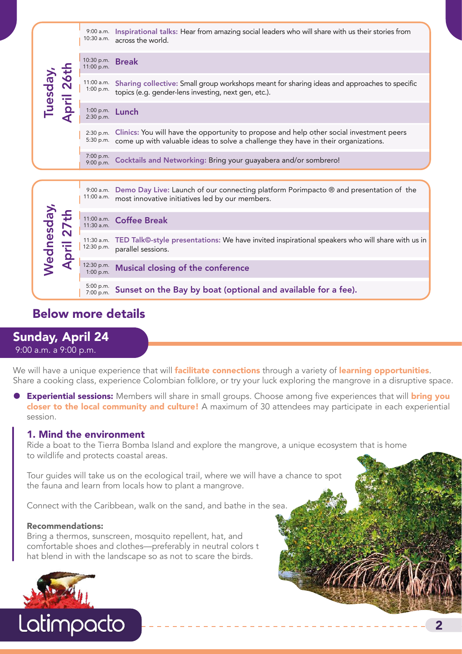|                          | 10:30 a.m.                   | 9:00 a.m. Inspirational talks: Hear from amazing social leaders who will share with us their stories from<br>across the world.                                                 |
|--------------------------|------------------------------|--------------------------------------------------------------------------------------------------------------------------------------------------------------------------------|
|                          | 10:30 p.m.<br>11:00 p.m.     | <b>Break</b>                                                                                                                                                                   |
| Tuesday,<br>April 26th   | 11:00 a.m.<br>1:00 p.m.      | Sharing collective: Small group workshops meant for sharing ideas and approaches to specific<br>topics (e.g. gender-lens investing, next gen, etc.).                           |
|                          | 1:00 p.m.<br>2:30 p.m.       | Lunch                                                                                                                                                                          |
|                          | 2:30 p.m.<br>5:30 p.m.       | Clinics: You will have the opportunity to propose and help other social investment peers<br>come up with valuable ideas to solve a challenge they have in their organizations. |
|                          | 7:00 p.m.<br>9:00 p.m.       | Cocktails and Networking: Bring your guayabera and/or sombrero!                                                                                                                |
|                          |                              |                                                                                                                                                                                |
|                          |                              |                                                                                                                                                                                |
|                          | $9:00$ a.m.<br>$11:00$ a.m.  | Demo Day Live: Launch of our connecting platform Porimpacto ® and presentation of the<br>most innovative initiatives led by our members.                                       |
|                          | $11:00$ a.m.<br>$11:30$ a.m. | <b>Coffee Break</b>                                                                                                                                                            |
|                          | 11:30 a.m.<br>12:30 p.m.     | parallel sessions.                                                                                                                                                             |
|                          | 12:30 p.m.<br>1:00 p.m.      | TED Talk©-style presentations: We have invited inspirational speakers who will share with us in<br>Musical closing of the conference                                           |
| Wednesday,<br>April 27th | 5:00 p.m.<br>7:00 p.m.       | Sunset on the Bay by boat (optional and available for a fee).                                                                                                                  |

## Sunday, April 24

9:00 a.m. a 9:00 p.m.

We will have a unique experience that will **facilitate connections** through a variety of **learning opportunities**. Share a cooking class, experience Colombian folklore, or try your luck exploring the mangrove in a disruptive space.

Experiential sessions: Members will share in small groups. Choose among five experiences that will bring you closer to the local community and culture! A maximum of 30 attendees may participate in each experiential session.

#### 1. Mind the environment

Ride a boat to the Tierra Bomba Island and explore the mangrove, a unique ecosystem that is home to wildlife and protects coastal areas.

Tour guides will take us on the ecological trail, where we will have a chance to spot the fauna and learn from locals how to plant a mangrove.

Connect with the Caribbean, walk on the sand, and bathe in the sea.

#### Recommendations:

Bring a thermos, sunscreen, mosquito repellent, hat, and comfortable shoes and clothes—preferably in neutral colors t hat blend in with the landscape so as not to scare the birds.



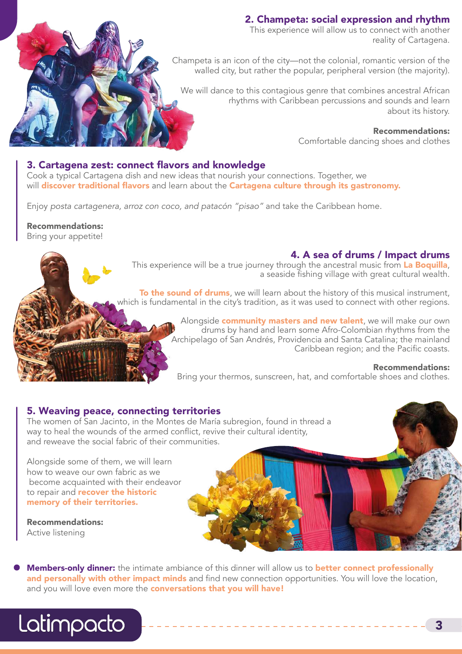#### 2. Champeta: social expression and rhythm

This experience will allow us to connect with another reality of Cartagena.

Champeta is an icon of the city—not the colonial, romantic version of the walled city, but rather the popular, peripheral version (the majority).

We will dance to this contagious genre that combines ancestral African rhythms with Caribbean percussions and sounds and learn about its history.

> Recommendations: Comfortable dancing shoes and clothes

#### 3. Cartagena zest: connect flavors and knowledge

Cook a typical Cartagena dish and new ideas that nourish your connections. Together, we will discover traditional flavors and learn about the Cartagena culture through its gastronomy.

Enjoy *posta cartagenera, arroz con coco, and patacón "pisao"* and take the Caribbean home.

Recommendations:

Bring your appetite!

#### 4. A sea of drums / Impact drums

This experience will be a true journey through the ancestral music from La Boquilla, a seaside fishing village with great cultural wealth.

To the sound of drums, we will learn about the history of this musical instrument, which is fundamental in the city's tradition, as it was used to connect with other regions.

> Alongside **community masters and new talent**, we will make our own drums by hand and learn some Afro-Colombian rhythms from the Archipelago of San Andrés, Providencia and Santa Catalina; the mainland Caribbean region; and the Pacific coasts.

#### Recommendations:

Bring your thermos, sunscreen, hat, and comfortable shoes and clothes.

#### 5. Weaving peace, connecting territories

The women of San Jacinto, in the Montes de María subregion, found in thread a way to heal the wounds of the armed conflict, revive their cultural identity, and reweave the social fabric of their communities.

Alongside some of them, we will learn how to weave our own fabric as we become acquainted with their endeavor to repair and **recover the historic** memory of their territories.

Recommendations: Active listening

Members-only dinner: the intimate ambiance of this dinner will allow us to better connect professionally and personally with other impact minds and find new connection opportunities. You will love the location, and you will love even more the conversations that you will have!

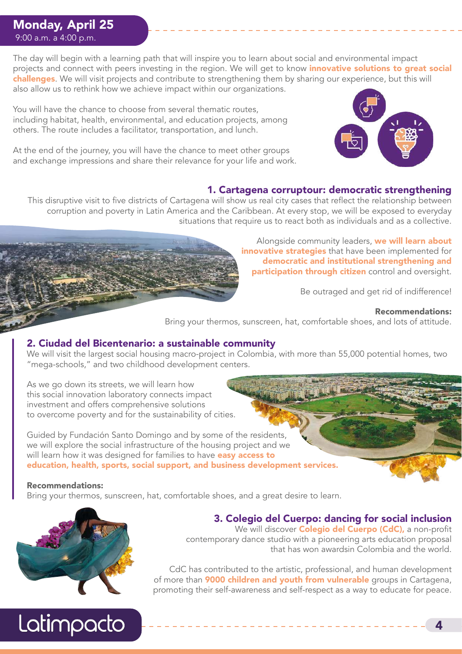### Monday, April 25 9:00 a.m. a 4:00 p.m.

The day will begin with a learning path that will inspire you to learn about social and environmental impact projects and connect with peers investing in the region. We will get to know *innovative solutions to great social* challenges. We will visit projects and contribute to strengthening them by sharing our experience, but this will also allow us to rethink how we achieve impact within our organizations.

You will have the chance to choose from several thematic routes, including habitat, health, environmental, and education projects, among others. The route includes a facilitator, transportation, and lunch.

At the end of the journey, you will have the chance to meet other groups and exchange impressions and share their relevance for your life and work.



#### 1. Cartagena corruptour: democratic strengthening

This disruptive visit to five districts of Cartagena will show us real city cases that reflect the relationship between corruption and poverty in Latin America and the Caribbean. At every stop, we will be exposed to everyday situations that require us to react both as individuals and as a collective.

> Alongside community leaders, we will learn about innovative strategies that have been implemented for democratic and institutional strengthening and participation through citizen control and oversight.

> > Be outraged and get rid of indifference!

#### Recommendations:

Bring your thermos, sunscreen, hat, comfortable shoes, and lots of attitude.

#### 2. Ciudad del Bicentenario: a sustainable community

We will visit the largest social housing macro-project in Colombia, with more than 55,000 potential homes, two "mega-schools," and two childhood development centers.

As we go down its streets, we will learn how this social innovation laboratory connects impact investment and offers comprehensive solutions to overcome poverty and for the sustainability of cities.

Guided by Fundación Santo Domingo and by some of the residents, we will explore the social infrastructure of the housing project and we will learn how it was designed for families to have **easy access to** education, health, sports, social support, and business development services.

#### Recommendations:

Bring your thermos, sunscreen, hat, comfortable shoes, and a great desire to learn.



Latimpacto

# 3. Colegio del Cuerpo: dancing for social inclusion

We will discover **Colegio del Cuerpo (CdC)**, a non-profit contemporary dance studio with a pioneering arts education proposal that has won awardsin Colombia and the world.

CdC has contributed to the artistic, professional, and human development of more than **9000 children and youth from vulnerable** groups in Cartagena, promoting their self-awareness and self-respect as a way to educate for peace.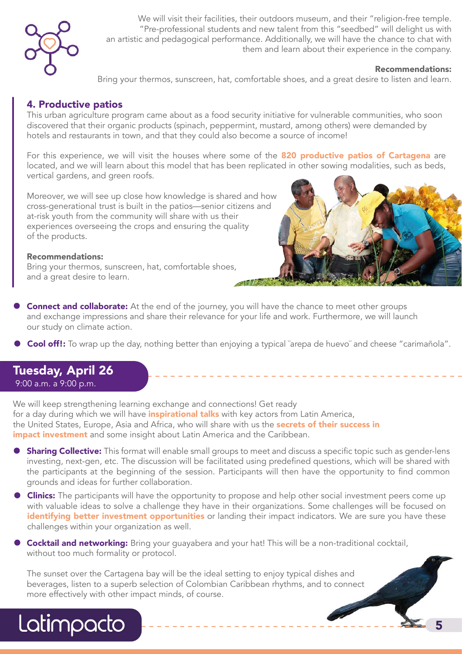

We will visit their facilities, their outdoors museum, and their "religion-free temple. "Pre-professional students and new talent from this "seedbed" will delight us with an artistic and pedagogical performance. Additionally, we will have the chance to chat with them and learn about their experience in the company.

#### Recommendations:

5

Bring your thermos, sunscreen, hat, comfortable shoes, and a great desire to listen and learn.

#### 4. Productive patios

This urban agriculture program came about as a food security initiative for vulnerable communities, who soon discovered that their organic products (spinach, peppermint, mustard, among others) were demanded by hotels and restaurants in town, and that they could also become a source of income!

For this experience, we will visit the houses where some of the 820 productive patios of Cartagena are located, and we will learn about this model that has been replicated in other sowing modalities, such as beds, vertical gardens, and green roofs.

Moreover, we will see up close how knowledge is shared and how cross-generational trust is built in the patios—senior citizens and at-risk youth from the community will share with us their experiences overseeing the crops and ensuring the quality of the products.

#### Recommendations:

Bring your thermos, sunscreen, hat, comfortable shoes, and a great desire to learn.



**Connect and collaborate:** At the end of the journey, you will have the chance to meet other groups and exchange impressions and share their relevance for your life and work. Furthermore, we will launch our study on climate action.

Cool off!: To wrap up the day, nothing better than enjoying a typical "arepa de huevo" and cheese "carimañola".

#### Tuesday, April 26 9:00 a.m. a 9:00 p.m.

Latimpacto

We will keep strengthening learning exchange and connections! Get ready for a day during which we will have **inspirational talks** with key actors from Latin America, the United States, Europe, Asia and Africa, who will share with us the **secrets of their success in** impact investment and some insight about Latin America and the Caribbean.

- **Sharing Collective:** This format will enable small groups to meet and discuss a specific topic such as gender-lens investing, next-gen, etc. The discussion will be facilitated using predefined questions, which will be shared with the participants at the beginning of the session. Participants will then have the opportunity to find common grounds and ideas for further collaboration.
- **Clinics:** The participants will have the opportunity to propose and help other social investment peers come up with valuable ideas to solve a challenge they have in their organizations. Some challenges will be focused on identifying better investment opportunities or landing their impact indicators. We are sure you have these challenges within your organization as well.
- **Cocktail and networking:** Bring your guayabera and your hat! This will be a non-traditional cocktail, without too much formality or protocol.

The sunset over the Cartagena bay will be the ideal setting to enjoy typical dishes and beverages, listen to a superb selection of Colombian Caribbean rhythms, and to connect more effectively with other impact minds, of course.